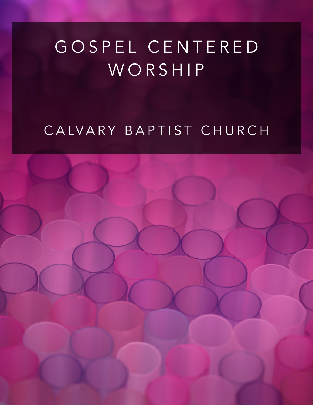# GOSPEL CENTERED WORSHIP

## CALVARY BAPTIST CHURCH

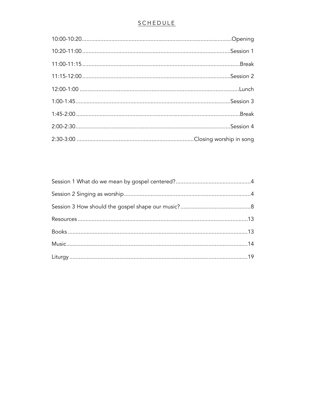#### **SCHEDULE**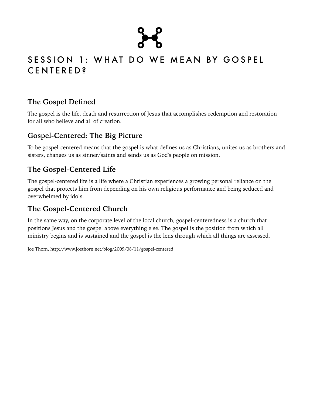### SESSION 1: WHAT DO WE MEAN BY GOSPEL CENTERED?

#### **The Gospel Defined**

The gospel is the life, death and resurrection of Jesus that accomplishes redemption and restoration for all who believe and all of creation.

#### **Gospel-Centered: The Big Picture**

To be gospel-centered means that the gospel is what defines us as Christians, unites us as brothers and sisters, changes us as sinner/saints and sends us as God's people on mission.

#### **The Gospel-Centered Life**

The gospel-centered life is a life where a Christian experiences a growing personal reliance on the gospel that protects him from depending on his own religious performance and being seduced and overwhelmed by idols.

### **The Gospel-Centered Church**

In the same way, on the corporate level of the local church, gospel-centeredness is a church that positions Jesus and the gospel above everything else. The gospel is the position from which all ministry begins and is sustained and the gospel is the lens through which all things are assessed.

Joe Thorn, http://www.joethorn.net/blog/2009/08/11/gospel-centered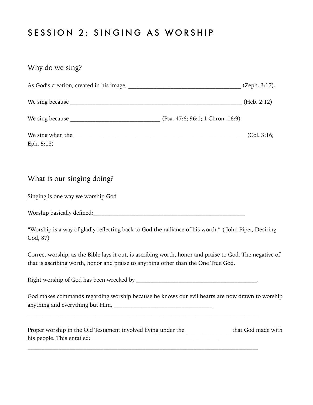### SESSION 2: SINGING AS WORSHIP

### Why do we sing?

| Eph. 5:18)                                                                                                                                                                                    | (Col. 3:16; |
|-----------------------------------------------------------------------------------------------------------------------------------------------------------------------------------------------|-------------|
| What is our singing doing?                                                                                                                                                                    |             |
| Singing is one way we worship God                                                                                                                                                             |             |
|                                                                                                                                                                                               |             |
| "Worship is a way of gladly reflecting back to God the radiance of his worth." (John Piper, Desiring<br>God, 87)                                                                              |             |
| Correct worship, as the Bible lays it out, is ascribing worth, honor and praise to God. The negative of<br>that is ascribing worth, honor and praise to anything other than the One True God. |             |
|                                                                                                                                                                                               |             |
| God makes commands regarding worship because he knows our evil hearts are now drawn to worship                                                                                                |             |
|                                                                                                                                                                                               |             |

|                            | Proper worship in the Old Testament involved living under the | that God made with |
|----------------------------|---------------------------------------------------------------|--------------------|
| his people. This entailed: |                                                               |                    |

 $\_$  , and the set of the set of the set of the set of the set of the set of the set of the set of the set of the set of the set of the set of the set of the set of the set of the set of the set of the set of the set of th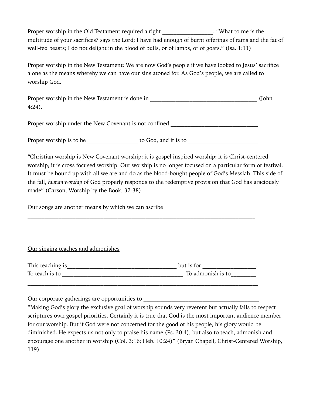Proper worship in the Old Testament required a right Theorem 2. "What to me is the multitude of your sacrifices? says the Lord; I have had enough of burnt offerings of rams and the fat of well-fed beasts; I do not delight in the blood of bulls, or of lambs, or of goats." (Isa. 1:11)

Proper worship in the New Testament: We are now God's people if we have looked to Jesus' sacrifice alone as the means whereby we can have our sins atoned for. As God's people, we are called to worship God.

Proper worship in the New Testament is done in  $\Box$  [John] 4:24).

Proper worship under the New Covenant is not confined \_\_\_\_\_\_\_\_\_\_\_\_\_\_\_\_\_\_\_\_\_\_\_\_\_\_

Proper worship is to be \_\_\_\_\_\_\_\_\_\_\_\_\_\_\_\_\_\_\_\_ to God, and it is to \_\_\_\_\_\_\_\_\_\_\_\_\_\_\_\_\_\_\_\_\_

"Christian worship is New Covenant worship; it is gospel inspired worship; it is Christ-centered worship; it is cross focused worship. Our worship is no longer focused on a particular form or festival. It must be bound up with all we are and do as the blood-bought people of God's Messiah. This side of the fall, *human worship* of God properly responds to the redemptive provision that God has graciously made" (Carson, Worship by the Book, 37-38).

Our songs are another means by which we can ascribe

\_\_\_\_\_\_\_\_\_\_\_\_\_\_\_\_\_\_\_\_\_\_\_\_\_\_\_\_\_\_\_\_\_\_\_\_\_\_\_\_\_\_\_\_\_\_\_\_\_\_\_\_\_\_\_\_\_\_\_\_\_\_\_\_\_\_\_\_\_\_\_\_\_\_\_\_\_\_\_\_\_

#### Our singing teaches and admonishes

| This teaching is | but is for          |  |
|------------------|---------------------|--|
| To teach is to   | . To admonish is to |  |

 $\_$  , and the set of the set of the set of the set of the set of the set of the set of the set of the set of the set of the set of the set of the set of the set of the set of the set of the set of the set of the set of th

Our corporate gatherings are opportunities to

"Making God's glory the exclusive goal of worship sounds very reverent but actually fails to respect scriptures own gospel priorities. Certainly it is true that God is the most important audience member for our worship. But if God were not concerned for the good of his people, his glory would be diminished. He expects us not only to praise his name (Ps. 30:4), but also to teach, admonish and encourage one another in worship (Col. 3:16; Heb. 10:24)" (Bryan Chapell, Christ-Centered Worship, 119).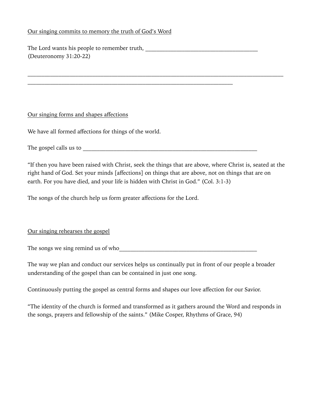#### Our singing commits to memory the truth of God's Word

The Lord wants his people to remember truth, (Deuteronomy 31:20-22)

 $\mathcal{L}_\text{max} = \mathcal{L}_\text{max} = \mathcal{L}_\text{max} = \mathcal{L}_\text{max} = \mathcal{L}_\text{max} = \mathcal{L}_\text{max} = \mathcal{L}_\text{max} = \mathcal{L}_\text{max} = \mathcal{L}_\text{max} = \mathcal{L}_\text{max} = \mathcal{L}_\text{max} = \mathcal{L}_\text{max} = \mathcal{L}_\text{max} = \mathcal{L}_\text{max} = \mathcal{L}_\text{max} = \mathcal{L}_\text{max} = \mathcal{L}_\text{max} = \mathcal{L}_\text{max} = \mathcal{$ 

#### Our singing forms and shapes affections

We have all formed affections for things of the world.

The gospel calls us to  $\Box$ 

"If then you have been raised with Christ, seek the things that are above, where Christ is, seated at the right hand of God. Set your minds [affections] on things that are above, not on things that are on earth. For you have died, and your life is hidden with Christ in God." (Col. 3:1-3)

 $\_$  ,  $\_$  ,  $\_$  ,  $\_$  ,  $\_$  ,  $\_$  ,  $\_$  ,  $\_$  ,  $\_$  ,  $\_$  ,  $\_$  ,  $\_$  ,  $\_$  ,  $\_$  ,  $\_$  ,  $\_$  ,  $\_$  ,  $\_$  ,  $\_$  ,  $\_$  ,  $\_$  ,  $\_$  ,  $\_$  ,  $\_$  ,  $\_$  ,  $\_$  ,  $\_$  ,  $\_$  ,  $\_$  ,  $\_$  ,  $\_$  ,  $\_$  ,  $\_$  ,  $\_$  ,  $\_$  ,  $\_$  ,  $\_$  ,

The songs of the church help us form greater affections for the Lord.

#### Our singing rehearses the gospel

The songs we sing remind us of who

The way we plan and conduct our services helps us continually put in front of our people a broader understanding of the gospel than can be contained in just one song.

Continuously putting the gospel as central forms and shapes our love affection for our Savior.

"The identity of the church is formed and transformed as it gathers around the Word and responds in the songs, prayers and fellowship of the saints." (Mike Cosper, Rhythms of Grace, 94)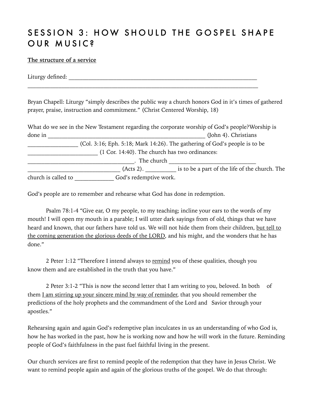### SESSION 3: HOW SHOULD THE GOSPEL SHAPE OUR MUSIC?

#### **The structure of a service**

Liturgy defined:

Bryan Chapell: Liturgy "simply describes the public way a church honors God in it's times of gathered prayer, praise, instruction and commitment." (Christ Centered Worship, 18)

\_\_\_\_\_\_\_\_\_\_\_\_\_\_\_\_\_\_\_\_\_\_\_\_\_\_\_\_\_\_\_\_\_\_\_\_\_\_\_\_\_\_\_\_\_\_\_\_\_\_\_\_\_\_\_\_\_\_\_\_\_\_\_\_\_\_\_\_\_\_\_\_\_\_\_\_\_\_\_\_\_\_

|                     |                                                                            | What do we see in the New Testament regarding the corporate worship of God's people? Worship is |  |  |
|---------------------|----------------------------------------------------------------------------|-------------------------------------------------------------------------------------------------|--|--|
| done in             | (John 4). Christians                                                       |                                                                                                 |  |  |
|                     | (Col. 3:16; Eph. 5:18; Mark 14:26). The gathering of God's people is to be |                                                                                                 |  |  |
|                     | (1 Cor. 14:40). The church has two ordinances:                             |                                                                                                 |  |  |
|                     | . The church                                                               |                                                                                                 |  |  |
|                     | (Acts 2).                                                                  | is to be a part of the life of the church. The                                                  |  |  |
| church is called to | God's redemptive work.                                                     |                                                                                                 |  |  |

God's people are to remember and rehearse what God has done in redemption.

 Psalm 78:1-4 "Give ear, O my people, to my teaching; incline your ears to the words of my mouth! I will open my mouth in a parable; I will utter dark sayings from of old, things that we have heard and known, that our fathers have told us. We will not hide them from their children, but tell to the coming generation the glorious deeds of the LORD, and his might, and the wonders that he has done."

 2 Peter 1:12 "Therefore I intend always to remind you of these qualities, though you know them and are established in the truth that you have."

2 Peter 3:1-2 "This is now the second letter that I am writing to you, beloved. In both of them I am stirring up your sincere mind by way of reminder, that you should remember the predictions of the holy prophets and the commandment of the Lord and Savior through your apostles."

Rehearsing again and again God's redemptive plan inculcates in us an understanding of who God is, how he has worked in the past, how he is working now and how he will work in the future. Reminding people of God's faithfulness in the past fuel faithful living in the present.

Our church services are first to remind people of the redemption that they have in Jesus Christ. We want to remind people again and again of the glorious truths of the gospel. We do that through: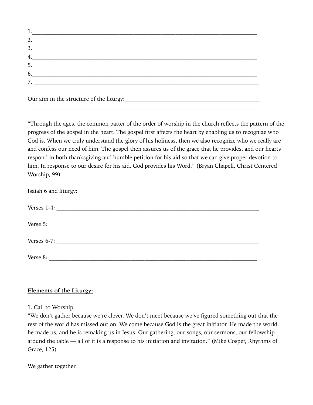| <u> 1990 - Jan Barbara, martxar a shekara tshirin a shekara ta 1991 haɗa ta 1991 ta 1992 ta 1993 ta 1993 ta 1993 </u> |  |
|-----------------------------------------------------------------------------------------------------------------------|--|
|                                                                                                                       |  |
|                                                                                                                       |  |
|                                                                                                                       |  |
|                                                                                                                       |  |
|                                                                                                                       |  |
| Our aim in the structure of the liturgy:                                                                              |  |

\_\_\_\_\_\_\_\_\_\_\_\_\_\_\_\_\_\_\_\_\_\_\_\_\_\_\_\_\_\_\_\_\_\_\_\_\_\_\_\_\_\_\_\_\_\_\_\_\_\_\_\_\_\_\_\_\_\_\_\_\_\_\_\_\_\_\_\_\_\_\_\_\_\_\_\_\_\_\_\_\_\_

"Through the ages, the common patter of the order of worship in the church reflects the pattern of the progress of the gospel in the heart. The gospel first affects the heart by enabling us to recognize who God is. When we truly understand the glory of his holiness, then we also recognize who we really are and confess our need of him. The gospel then assures us of the grace that he provides, and our hearts respond in both thanksgiving and humble petition for his aid so that we can give proper devotion to him. In response to our desire for his aid, God provides his Word." (Bryan Chapell, Christ Centered Worship, 99)

Isaiah 6 and liturgy:

| Verses 1-4: |  |  |
|-------------|--|--|
| Verse 5:    |  |  |
| Verses 6-7: |  |  |
| Verse 8:    |  |  |

#### **Elements of the Liturgy:**

1. Call to Worship:

"We don't gather because we're clever. We don't meet because we've figured something out that the rest of the world has missed out on. We come because God is the great initiator. He made the world, he made us, and he is remaking us in Jesus. Our gathering, our songs, our sermons, our fellowship around the table — all of it is a response to his initiation and invitation." (Mike Cosper, Rhythms of Grace, 125)

We gather together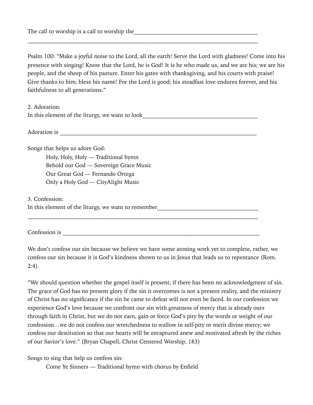Psalm 100: "Make a joyful noise to the Lord, all the earth! Serve the Lord with gladness! Come into his presence with singing! Know that the Lord, he is God! It is he who made us, and we are his; we are his people, and the sheep of his pasture. Enter his gates with thanksgiving, and his courts with praise! Give thanks to him; bless his name! For the Lord is good; his steadfast love endures forever, and his faithfulness to all generations."

 $\_$  , and the set of the set of the set of the set of the set of the set of the set of the set of the set of the set of the set of the set of the set of the set of the set of the set of the set of the set of the set of th

2. Adoration:

In this element of the liturgy, we want to look

Adoration is  $\blacksquare$ 

Songs that helps us adore God:

 Holy, Holy, Holy — Traditional hymn Behold our God — Sovereign Grace Music Our Great God — Fernando Ortega Only a Holy God — CityAlight Music

3. Confession:

In this element of the liturgy, we want to remember

Confession is  $\blacksquare$ 

We don't confess our sin because we believe we have some atoning work yet to complete, rather, we confess our sin because it is God's kindness shown to us in Jesus that leads us to repentance (Rom.  $2:4$ ).

\_\_\_\_\_\_\_\_\_\_\_\_\_\_\_\_\_\_\_\_\_\_\_\_\_\_\_\_\_\_\_\_\_\_\_\_\_\_\_\_\_\_\_\_\_\_\_\_\_\_\_\_\_\_\_\_\_\_\_\_\_\_\_\_\_\_\_\_\_\_\_\_\_\_\_\_\_\_\_\_\_\_

"We should question whether the gospel itself is present, if there has been no acknowledgment of sin. The grace of God has no present glory if the sin it overcomes is not a present reality, and the ministry of Christ has no significance if the sin he came to defeat will not even be faced. In our confession we experience God's love because we confront our sin with greatness of mercy that is already ours through faith in Christ, but we do not earn, gain or force God's pity by the words or weight of our confession…we do not confess our wretchedness to wallow in self-pity or merit divine mercy; we confess our destitution so that our hearts will be enraptured anew and motivated afresh by the riches of our Savior's love." (Bryan Chapell, Christ Centered Worship, 183)

Songs to sing that help us confess sin:

Come Ye Sinners — Traditional hymn with chorus by Enfield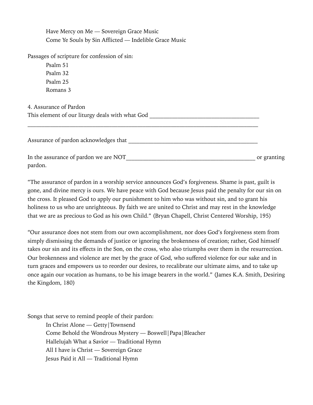Have Mercy on Me — Sovereign Grace Music Come Ye Souls by Sin Afflicted — Indelible Grace Music

Passages of scripture for confession of sin:

 Psalm 51 Psalm 32 Psalm 25 Romans 3

4. Assurance of Pardon This element of our liturgy deals with what God

Assurance of pardon acknowledges that \_\_\_\_\_\_\_\_\_\_\_\_\_\_\_\_\_\_\_\_\_\_\_\_\_\_\_\_\_\_\_\_\_\_\_\_\_\_\_\_\_\_\_\_\_\_

\_\_\_\_\_\_\_\_\_\_\_\_\_\_\_\_\_\_\_\_\_\_\_\_\_\_\_\_\_\_\_\_\_\_\_\_\_\_\_\_\_\_\_\_\_\_\_\_\_\_\_\_\_\_\_\_\_\_\_\_\_\_\_\_\_\_\_\_\_\_\_\_\_\_\_\_\_\_\_\_\_\_

In the assurance of pardon we are NOT\_\_\_\_\_\_\_\_\_\_\_\_\_\_\_\_\_\_\_\_\_\_\_\_\_\_\_\_\_\_\_\_\_\_\_\_\_\_\_\_\_\_\_\_\_\_ or granting pardon.

"The assurance of pardon in a worship service announces God's forgiveness. Shame is past, guilt is gone, and divine mercy is ours. We have peace with God because Jesus paid the penalty for our sin on the cross. It pleased God to apply our punishment to him who was without sin, and to grant his holiness to us who are unrighteous. By faith we are united to Christ and may rest in the knowledge that we are as precious to God as his own Child." (Bryan Chapell, Christ Centered Worship, 195)

"Our assurance does not stem from our own accomplishment, nor does God's forgiveness stem from simply dismissing the demands of justice or ignoring the brokenness of creation; rather, God himself takes our sin and its effects in the Son, on the cross, who also triumphs over them in the resurrection. Our brokenness and violence are met by the grace of God, who suffered violence for our sake and in turn graces and empowers us to reorder our desires, to recalibrate our ultimate aims, and to take up once again our vocation as humans, to be his image bearers in the world." (James K.A. Smith, Desiring the Kingdom, 180)

Songs that serve to remind people of their pardon:

 In Christ Alone — Getty|Townsend Come Behold the Wondrous Mystery — Boswell|Papa|Bleacher Hallelujah What a Savior — Traditional Hymn All I have is Christ — Sovereign Grace Jesus Paid it All — Traditional Hymn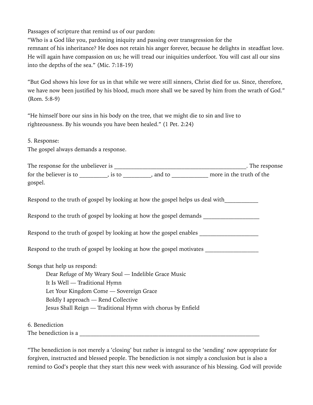Passages of scripture that remind us of our pardon:

"Who is a God like you, pardoning iniquity and passing over transgression for the remnant of his inheritance? He does not retain his anger forever, because he delights in steadfast love. He will again have compassion on us; he will tread our iniquities underfoot. You will cast all our sins into the depths of the sea." (Mic. 7:18-19)

"But God shows his love for us in that while we were still sinners, Christ died for us. Since, therefore, we have now been justified by his blood, much more shall we be saved by him from the wrath of God." (Rom. 5:8-9)

"He himself bore our sins in his body on the tree, that we might die to sin and live to righteousness. By his wounds you have been healed." (1 Pet. 2:24)

5. Response:

The gospel always demands a response.

| The response for the unbeliever is |       |        | . The response           |
|------------------------------------|-------|--------|--------------------------|
| for the believer is to             | is to | and to | more in the truth of the |
| gospel.                            |       |        |                          |

Respond to the truth of gospel by looking at how the gospel helps us deal with

Respond to the truth of gospel by looking at how the gospel demands

Respond to the truth of gospel by looking at how the gospel enables

Respond to the truth of gospel by looking at how the gospel motivates

Songs that help us respond: Dear Refuge of My Weary Soul — Indelible Grace Music It Is Well — Traditional Hymn Let Your Kingdom Come — Sovereign Grace Boldly I approach — Rend Collective Jesus Shall Reign — Traditional Hymn with chorus by Enfield

6. Benediction

The benediction is a

"The benediction is not merely a 'closing' but rather is integral to the 'sending' now appropriate for forgiven, instructed and blessed people. The benediction is not simply a conclusion but is also a remind to God's people that they start this new week with assurance of his blessing. God will provide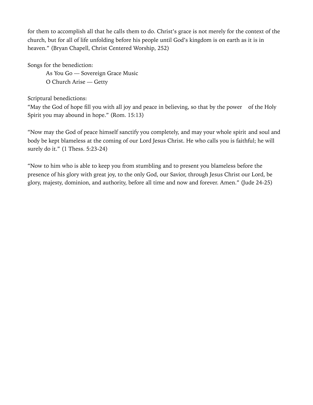for them to accomplish all that he calls them to do. Christ's grace is not merely for the context of the church, but for all of life unfolding before his people until God's kingdom is on earth as it is in heaven." (Bryan Chapell, Christ Centered Worship, 252)

Songs for the benediction:

 As You Go — Sovereign Grace Music O Church Arise — Getty

Scriptural benedictions:

"May the God of hope fill you with all joy and peace in believing, so that by the power of the Holy Spirit you may abound in hope." (Rom. 15:13)

"Now may the God of peace himself sanctify you completely, and may your whole spirit and soul and body be kept blameless at the coming of our Lord Jesus Christ. He who calls you is faithful; he will surely do it." (1 Thess. 5:23-24)

"Now to him who is able to keep you from stumbling and to present you blameless before the presence of his glory with great joy, to the only God, our Savior, through Jesus Christ our Lord, be glory, majesty, dominion, and authority, before all time and now and forever. Amen." (Jude 24-25)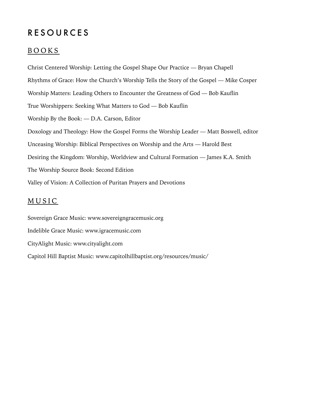### RESOURCES

#### BOOKS

Christ Centered Worship: Letting the Gospel Shape Our Practice — Bryan Chapell Rhythms of Grace: How the Church's Worship Tells the Story of the Gospel — Mike Cosper Worship Matters: Leading Others to Encounter the Greatness of God — Bob Kauflin True Worshippers: Seeking What Matters to God — Bob Kauflin Worship By the Book: — D.A. Carson, Editor Doxology and Theology: How the Gospel Forms the Worship Leader — Matt Boswell, editor Unceasing Worship: Biblical Perspectives on Worship and the Arts — Harold Best Desiring the Kingdom: Worship, Worldview and Cultural Formation — James K.A. Smith The Worship Source Book: Second Edition Valley of Vision: A Collection of Puritan Prayers and Devotions

#### MUSIC

Sovereign Grace Music: www.sovereigngracemusic.org Indelible Grace Music: www.igracemusic.com CityAlight Music: www.cityalight.com Capitol Hill Baptist Music: www.capitolhillbaptist.org/resources/music/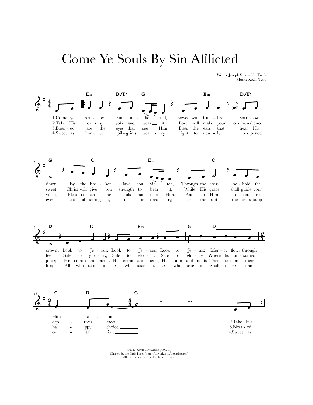## Come Ye Souls By Sin Afflicted

Words: Joseph Swain (alt. Twit) Music: Kevin Twit







crown; Look lies; feet joice; Safe His comm-and-ments, His comm-and-ments, His comm-and-ments Then be-come their All to to who taste it, Je - sus, Look glo - ry, Safe All to to who taste it, All who taste it Je - sus, Look to glo - ry, Safe to Je - sus; Mer - cy flows through glo - ry, Where His ran - somed Shall to rest imm-



©2013 Kevin Twit Music (ASCAP) Charted by the Little Pages [http://tinyurl.com/thelittlepages] All rights reserved. Used with permission.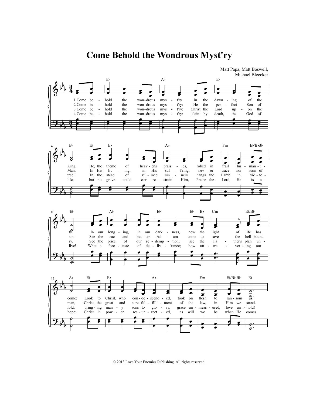### **Come Behold the Wondrous Myst'ry**



© 2013 Love Your Enemies Publishing. All rights reserved.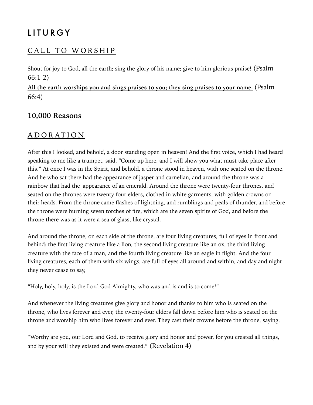### LITURGY

#### CALL TO WORSHIP

Shout for joy to God, all the earth; sing the glory of his name; give to him glorious praise! (Psalm 66:1-2)

**All the earth worships you and sings praises to you; they sing praises to your name.** (Psalm 66:4)

#### **10,000 Reasons**

#### ADORATION

After this I looked, and behold, a door standing open in heaven! And the first voice, which I had heard speaking to me like a trumpet, said, "Come up here, and I will show you what must take place after this." At once I was in the Spirit, and behold, a throne stood in heaven, with one seated on the throne. And he who sat there had the appearance of jasper and carnelian, and around the throne was a rainbow that had the appearance of an emerald. Around the throne were twenty-four thrones, and seated on the thrones were twenty-four elders, clothed in white garments, with golden crowns on their heads. From the throne came flashes of lightning, and rumblings and peals of thunder, and before the throne were burning seven torches of fire, which are the seven spirits of God, and before the throne there was as it were a sea of glass, like crystal.

And around the throne, on each side of the throne, are four living creatures, full of eyes in front and behind: the first living creature like a lion, the second living creature like an ox, the third living creature with the face of a man, and the fourth living creature like an eagle in flight. And the four living creatures, each of them with six wings, are full of eyes all around and within, and day and night they never cease to say,

"Holy, holy, holy, is the Lord God Almighty, who was and is and is to come!"

And whenever the living creatures give glory and honor and thanks to him who is seated on the throne, who lives forever and ever, the twenty-four elders fall down before him who is seated on the throne and worship him who lives forever and ever. They cast their crowns before the throne, saying,

"Worthy are you, our Lord and God, to receive glory and honor and power, for you created all things, and by your will they existed and were created." (Revelation 4)